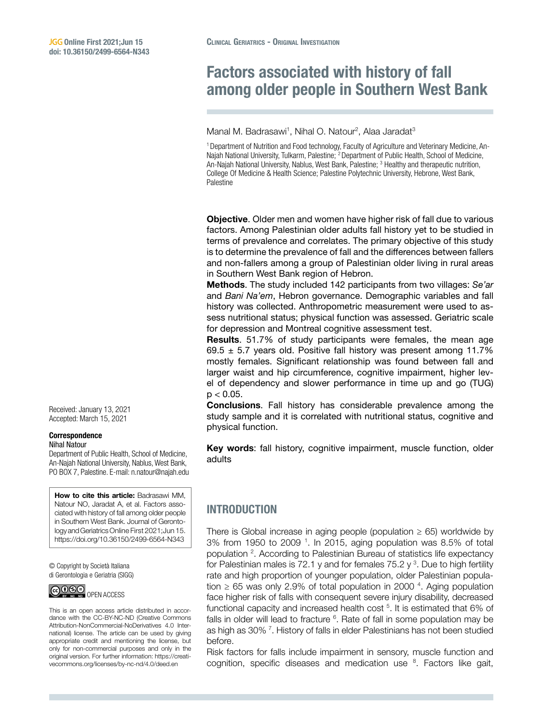# Factors associated with history of fall among older people in Southern West Bank

Manal M. Badrasawi<sup>1</sup>, Nihal O. Natour<sup>2</sup>, Alaa Jaradat<sup>3</sup>

<sup>1</sup> Department of Nutrition and Food technology, Faculty of Agriculture and Veterinary Medicine, An-Najah National University, Tulkarm, Palestine; <sup>2</sup> Department of Public Health, School of Medicine, An-Najah National University, Nablus, West Bank, Palestine; <sup>3</sup> Healthy and therapeutic nutrition, College Of Medicine & Health Science; Palestine Polytechnic University, Hebrone, West Bank, Palestine

Objective. Older men and women have higher risk of fall due to various factors. Among Palestinian older adults fall history yet to be studied in terms of prevalence and correlates. The primary objective of this study is to determine the prevalence of fall and the differences between fallers and non-fallers among a group of Palestinian older living in rural areas in Southern West Bank region of Hebron.

Methods. The study included 142 participants from two villages: *Se'ar* and *Bani Na'em*, Hebron governance. Demographic variables and fall history was collected. Anthropometric measurement were used to assess nutritional status; physical function was assessed. Geriatric scale for depression and Montreal cognitive assessment test.

Results. 51.7% of study participants were females, the mean age 69.5  $\pm$  5.7 years old. Positive fall history was present among 11.7% mostly females. Significant relationship was found between fall and larger waist and hip circumference, cognitive impairment, higher level of dependency and slower performance in time up and go (TUG)  $p < 0.05$ .

Conclusions. Fall history has considerable prevalence among the study sample and it is correlated with nutritional status, cognitive and physical function.

Key words: fall history, cognitive impairment, muscle function, older adults

## INTRODUCTION

There is Global increase in aging people (population  $\geq$  65) worldwide by 3% from 1950 to 2009<sup>1</sup>. In 2015, aging population was 8.5% of total population <sup>2</sup>. According to Palestinian Bureau of statistics life expectancy for Palestinian males is 72.1 y and for females 75.2 y  $3$ . Due to high fertility rate and high proportion of younger population, older Palestinian population  $\geq 65$  was only 2.9% of total population in 2000<sup>4</sup>. Aging population face higher risk of falls with consequent severe injury disability, decreased functional capacity and increased health cost <sup>5</sup>. It is estimated that 6% of falls in older will lead to fracture  $6$ . Rate of fall in some population may be as high as 30%<sup>7</sup>. History of falls in elder Palestinians has not been studied before.

Risk factors for falls include impairment in sensory, muscle function and cognition, specific diseases and medication use  $8$ . Factors like gait,

Received: January 13, 2021 Accepted: March 15, 2021

#### Correspondence Nihal Natour

Department of Public Health, School of Medicine, An-Najah National University, Nablus, West Bank, PO BOX 7, Palestine. E-mail: [n.natour@najah.edu](mailto:n.natour@najah.edu)

How to cite this article: Badrasawi MM, Natour NO, Jaradat A, et al. Factors associated with history of fall among older people in Southern West Bank. Journal of Gerontology and Geriatrics Online First 2021;Jun 15. <https://doi.org/10.36150/2499-6564-N343>

© Copyright by Società Italiana di Gerontologia e Geriatria (SIGG)



This is an open access article distributed in accordance with the CC-BY-NC-ND (Creative Commons Attribution-NonCommercial-NoDerivatives 4.0 International) license. The article can be used by giving appropriate credit and mentioning the license, but only for non-commercial purposes and only in the original version. For further information: [https://creati](https://creativecommons.org/licenses/by-nc-nd/4.0/deed.en)[vecommons.org/licenses/by-nc-nd/4.0/deed.en](https://creativecommons.org/licenses/by-nc-nd/4.0/deed.en)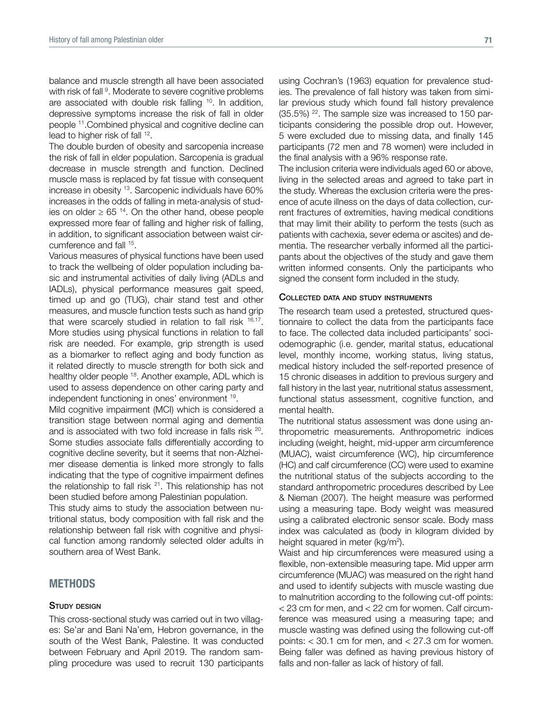balance and muscle strength all have been associated with risk of fall <sup>9</sup>. Moderate to severe cognitive problems are associated with double risk falling <sup>10</sup>. In addition, depressive symptoms increase the risk of fall in older people 11.Combined physical and cognitive decline can lead to higher risk of fall 12.

The double burden of obesity and sarcopenia increase the risk of fall in elder population. Sarcopenia is gradual decrease in muscle strength and function. Declined muscle mass is replaced by fat tissue with consequent increase in obesity 13. Sarcopenic individuals have 60% increases in the odds of falling in meta-analysis of studies on older  $\geq 65$  <sup>14</sup>. On the other hand, obese people expressed more fear of falling and higher risk of falling, in addition, to significant association between waist circumference and fall 15.

Various measures of physical functions have been used to track the wellbeing of older population including basic and instrumental activities of daily living (ADLs and IADLs), physical performance measures gait speed, timed up and go (TUG), chair stand test and other measures, and muscle function tests such as hand grip that were scarcely studied in relation to fall risk  $16,17$ . More studies using physical functions in relation to fall risk are needed. For example, grip strength is used as a biomarker to reflect aging and body function as it related directly to muscle strength for both sick and healthy older people 18. Another example, ADL which is used to assess dependence on other caring party and independent functioning in ones' environment 19.

Mild cognitive impairment (MCI) which is considered a transition stage between normal aging and dementia and is associated with two fold increase in falls risk 20. Some studies associate falls differentially according to cognitive decline severity, but it seems that non-Alzheimer disease dementia is linked more strongly to falls indicating that the type of cognitive impairment defines the relationship to fall risk  $21$ . This relationship has not been studied before among Palestinian population.

This study aims to study the association between nutritional status, body composition with fall risk and the relationship between fall risk with cognitive and physical function among randomly selected older adults in southern area of West Bank.

## **METHODS**

#### STUDY DESIGN

This cross-sectional study was carried out in two villages: Se'ar and Bani Na'em, Hebron governance, in the south of the West Bank, Palestine. It was conducted between February and April 2019. The random sampling procedure was used to recruit 130 participants using Cochran's (1963) equation for prevalence studies. The prevalence of fall history was taken from similar previous study which found fall history prevalence (35.5%) 22. The sample size was increased to 150 participants considering the possible drop out. However, 5 were excluded due to missing data, and finally 145 participants (72 men and 78 women) were included in the final analysis with a 96% response rate.

The inclusion criteria were individuals aged 60 or above, living in the selected areas and agreed to take part in the study. Whereas the exclusion criteria were the presence of acute illness on the days of data collection, current fractures of extremities, having medical conditions that may limit their ability to perform the tests (such as patients with cachexia, sever edema or ascites) and dementia. The researcher verbally informed all the participants about the objectives of the study and gave them written informed consents. Only the participants who signed the consent form included in the study.

#### Collected data and study instruments

The research team used a pretested, structured questionnaire to collect the data from the participants face to face. The collected data included participants' sociodemographic (i.e. gender, marital status, educational level, monthly income, working status, living status, medical history included the self-reported presence of 15 chronic diseases in addition to previous surgery and fall history in the last year, nutritional status assessment, functional status assessment, cognitive function, and mental health.

The nutritional status assessment was done using anthropometric measurements. Anthropometric indices including (weight, height, mid-upper arm circumference (MUAC), waist circumference (WC), hip circumference (HC) and calf circumference (CC) were used to examine the nutritional status of the subjects according to the standard anthropometric procedures described by Lee & Nieman (2007). The height measure was performed using a measuring tape. Body weight was measured using a calibrated electronic sensor scale. Body mass index was calculated as (body in kilogram divided by height squared in meter (kg/m<sup>2</sup>).

Waist and hip circumferences were measured using a flexible, non-extensible measuring tape. Mid upper arm circumference (MUAC) was measured on the right hand and used to identify subjects with muscle wasting due to malnutrition according to the following cut-off points: < 23 cm for men, and < 22 cm for women. Calf circumference was measured using a measuring tape; and muscle wasting was defined using the following cut-off points: < 30.1 cm for men, and < 27.3 cm for women. Being faller was defined as having previous history of falls and non-faller as lack of history of fall.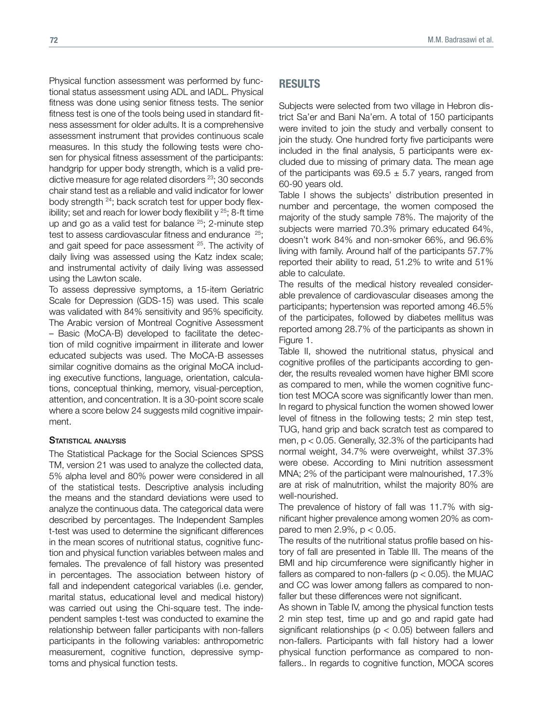Physical function assessment was performed by functional status assessment using ADL and IADL. Physical fitness was done using senior fitness tests. The senior fitness test is one of the tools being used in standard fitness assessment for older adults. It is a comprehensive assessment instrument that provides continuous scale measures. In this study the following tests were chosen for physical fitness assessment of the participants: handgrip for upper body strength, which is a valid predictive measure for age related disorders<sup>23</sup>; 30 seconds chair stand test as a reliable and valid indicator for lower body strength 24; back scratch test for upper body flexibility; set and reach for lower body flexibilit  $y^{25}$ ; 8-ft time up and go as a valid test for balance  $25$ ; 2-minute step test to assess cardiovascular fitness and endurance  $25$ ; and gait speed for pace assessment 25. The activity of daily living was assessed using the Katz index scale; and instrumental activity of daily living was assessed using the Lawton scale.

To assess depressive symptoms, a 15-item Geriatric Scale for Depression (GDS-15) was used. This scale was validated with 84% sensitivity and 95% specificity. The Arabic version of Montreal Cognitive Assessment – Basic (MoCA-B) developed to facilitate the detection of mild cognitive impairment in illiterate and lower educated subjects was used. The MoCA-B assesses similar cognitive domains as the original MoCA including executive functions, language, orientation, calculations, conceptual thinking, memory, visual-perception, attention, and concentration. It is a 30-point score scale where a score below 24 suggests mild cognitive impairment.

#### STATISTICAL ANALYSIS

The Statistical Package for the Social Sciences SPSS TM, version 21 was used to analyze the collected data, 5% alpha level and 80% power were considered in all of the statistical tests. Descriptive analysis including the means and the standard deviations were used to analyze the continuous data. The categorical data were described by percentages. The Independent Samples t-test was used to determine the significant differences in the mean scores of nutritional status, cognitive function and physical function variables between males and females. The prevalence of fall history was presented in percentages. The association between history of fall and independent categorical variables (i.e. gender, marital status, educational level and medical history) was carried out using the Chi-square test. The independent samples t-test was conducted to examine the relationship between faller participants with non-fallers participants in the following variables: anthropometric measurement, cognitive function, depressive symptoms and physical function tests.

### RESULTS

Subjects were selected from two village in Hebron district Sa'er and Bani Na'em. A total of 150 participants were invited to join the study and verbally consent to join the study. One hundred forty five participants were included in the final analysis, 5 participants were excluded due to missing of primary data. The mean age of the participants was  $69.5 \pm 5.7$  years, ranged from 60-90 years old.

Table I shows the subjects' distribution presented in number and percentage, the women composed the majority of the study sample 78%. The majority of the subjects were married 70.3% primary educated 64%, doesn't work 84% and non-smoker 66%, and 96.6% living with family. Around half of the participants 57.7% reported their ability to read, 51.2% to write and 51% able to calculate.

The results of the medical history revealed considerable prevalence of cardiovascular diseases among the participants; hypertension was reported among 46.5% of the participates, followed by diabetes mellitus was reported among 28.7% of the participants as shown in Figure 1.

Table II, showed the nutritional status, physical and cognitive profiles of the participants according to gender, the results revealed women have higher BMI score as compared to men, while the women cognitive function test MOCA score was significantly lower than men. In regard to physical function the women showed lower level of fitness in the following tests; 2 min step test, TUG, hand grip and back scratch test as compared to men, p < 0.05. Generally, 32.3% of the participants had normal weight, 34.7% were overweight, whilst 37.3% were obese. According to Mini nutrition assessment MNA; 2% of the participant were malnourished, 17.3% are at risk of malnutrition, whilst the majority 80% are well-nourished.

The prevalence of history of fall was 11.7% with significant higher prevalence among women 20% as compared to men  $2.9\%$ ,  $p < 0.05$ .

The results of the nutritional status profile based on history of fall are presented in Table III. The means of the BMI and hip circumference were significantly higher in fallers as compared to non-fallers ( $p < 0.05$ ). the MUAC and CC was lower among fallers as compared to nonfaller but these differences were not significant.

As shown in Table IV, among the physical function tests 2 min step test, time up and go and rapid gate had significant relationships ( $p < 0.05$ ) between fallers and non-fallers. Participants with fall history had a lower physical function performance as compared to nonfallers.. In regards to cognitive function, MOCA scores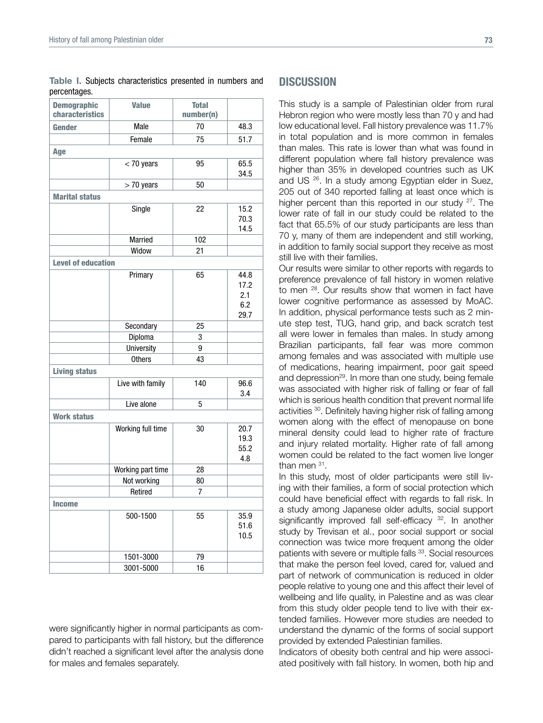Table I. Subjects characteristics presented in numbers and percentages.

| <b>Demographic</b><br>characteristics | <b>Value</b>      | <b>Total</b><br>number(n) |                                    |  |
|---------------------------------------|-------------------|---------------------------|------------------------------------|--|
| Gender                                | Male              | 70                        |                                    |  |
|                                       | Female            | 75                        | 51.7                               |  |
| Age                                   |                   |                           |                                    |  |
|                                       | $<$ 70 years      | 95                        | 65.5<br>34.5                       |  |
|                                       | $> 70$ years      | 50                        |                                    |  |
| <b>Marital status</b>                 |                   |                           |                                    |  |
|                                       | Single            | 22                        | 15.2<br>70.3<br>14.5               |  |
|                                       | Married           | 102                       |                                    |  |
|                                       | Widow             | 21                        |                                    |  |
| <b>Level of education</b>             |                   |                           |                                    |  |
|                                       | Primary           | 65                        | 44.8<br>17.2<br>2.1<br>6.2<br>29.7 |  |
|                                       | Secondary         | 25                        |                                    |  |
|                                       | Diploma           | 3                         |                                    |  |
|                                       | University        | 9                         |                                    |  |
|                                       | <b>Others</b>     | 43                        |                                    |  |
| <b>Living status</b>                  |                   |                           |                                    |  |
|                                       | Live with family  | 140                       | 96.6<br>3.4                        |  |
|                                       | Live alone        | 5                         |                                    |  |
| <b>Work status</b>                    |                   |                           |                                    |  |
|                                       | Working full time | 30                        | 20.7<br>19.3<br>55.2<br>4.8        |  |
|                                       | Working part time | 28                        |                                    |  |
|                                       | Not working       | 80                        |                                    |  |
|                                       | Retired           | 7                         |                                    |  |
| <b>Income</b>                         |                   |                           |                                    |  |
|                                       | 500-1500          | 55                        | 35.9<br>51.6<br>10.5               |  |
|                                       | 1501-3000         | 79                        |                                    |  |
|                                       | 3001-5000         | 16                        |                                    |  |

were significantly higher in normal participants as compared to participants with fall history, but the difference didn't reached a significant level after the analysis done for males and females separately.

## **DISCUSSION**

This study is a sample of Palestinian older from rural Hebron region who were mostly less than 70 y and had low educational level. Fall history prevalence was 11.7% in total population and is more common in females than males. This rate is lower than what was found in different population where fall history prevalence was higher than 35% in developed countries such as UK and US 26. In a study among Egyptian elder in Suez, 205 out of 340 reported falling at least once which is higher percent than this reported in our study  $27$ . The lower rate of fall in our study could be related to the fact that 65.5% of our study participants are less than 70 y, many of them are independent and still working, in addition to family social support they receive as most still live with their families.

Our results were similar to other reports with regards to preference prevalence of fall history in women relative to men <sup>28</sup>. Our results show that women in fact have lower cognitive performance as assessed by MoAC. In addition, physical performance tests such as 2 minute step test, TUG, hand grip, and back scratch test all were lower in females than males. In study among Brazilian participants, fall fear was more common among females and was associated with multiple use of medications, hearing impairment, poor gait speed and depression<sup>29</sup>. In more than one study, being female was associated with higher risk of falling or fear of fall which is serious health condition that prevent normal life activities 30. Definitely having higher risk of falling among women along with the effect of menopause on bone mineral density could lead to higher rate of fracture and injury related mortality. Higher rate of fall among women could be related to the fact women live longer than men 31.

In this study, most of older participants were still living with their families, a form of social protection which could have beneficial effect with regards to fall risk. In a study among Japanese older adults, social support significantly improved fall self-efficacy <sup>32</sup>. In another study by Trevisan et al., poor social support or social connection was twice more frequent among the older patients with severe or multiple falls <sup>33</sup>. Social resources that make the person feel loved, cared for, valued and part of network of communication is reduced in older people relative to young one and this affect their level of wellbeing and life quality, in Palestine and as was clear from this study older people tend to live with their extended families. However more studies are needed to understand the dynamic of the forms of social support provided by extended Palestinian families.

Indicators of obesity both central and hip were associated positively with fall history. In women, both hip and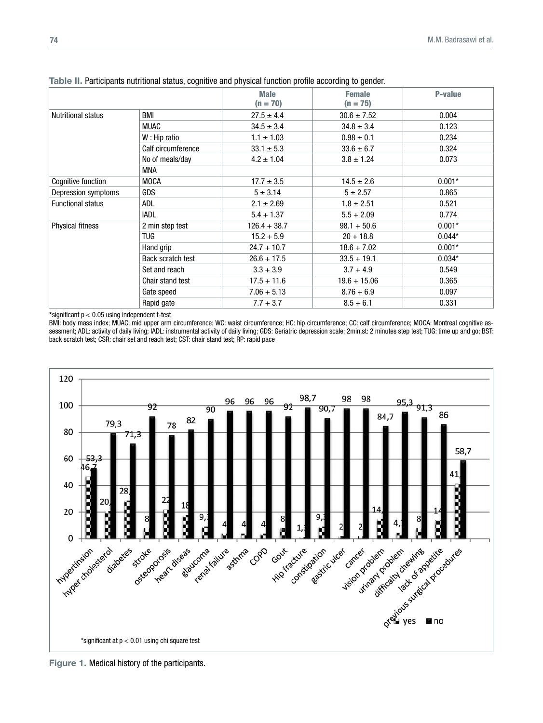|                           |                    | <b>Male</b><br>$(n = 70)$ | <b>Female</b><br>$(n = 75)$ | <b>P-value</b> |  |  |  |
|---------------------------|--------------------|---------------------------|-----------------------------|----------------|--|--|--|
| <b>Nutritional status</b> | BMI                | $27.5 \pm 4.4$            | $30.6 \pm 7.52$             | 0.004          |  |  |  |
|                           | <b>MUAC</b>        | $34.5 \pm 3.4$            | $34.8 \pm 3.4$              | 0.123          |  |  |  |
|                           | W: Hip ratio       | $1.1 \pm 1.03$            | $0.98 \pm 0.1$              | 0.234          |  |  |  |
|                           | Calf circumference | $33.1 \pm 5.3$            | $33.6 \pm 6.7$              |                |  |  |  |
|                           | No of meals/day    | $4.2 \pm 1.04$            | $3.8 \pm 1.24$              |                |  |  |  |
|                           | MNA                |                           |                             |                |  |  |  |
| Cognitive function        | <b>MOCA</b>        | $17.7 \pm 3.5$            | $14.5 \pm 2.6$              | $0.001*$       |  |  |  |
| Depression symptoms       | <b>GDS</b>         | $5 \pm 3.14$              | $5 + 2.57$                  | 0.865          |  |  |  |
| <b>Functional status</b>  | ADL                | $2.1 \pm 2.69$            | $1.8 \pm 2.51$              | 0.521          |  |  |  |
|                           | <b>IADL</b>        | $5.4 + 1.37$              | $5.5 + 2.09$                | 0.774          |  |  |  |
| <b>Physical fitness</b>   | 2 min step test    | $126.4 + 38.7$            | $98.1 + 50.6$               | $0.001*$       |  |  |  |
|                           | <b>TUG</b>         | $15.2 + 5.9$              | $20 + 18.8$                 | $0.044*$       |  |  |  |
|                           | Hand grip          | $24.7 + 10.7$             | $18.6 + 7.02$               | $0.001*$       |  |  |  |
|                           | Back scratch test  | $26.6 + 17.5$             | $33.5 + 19.1$               | $0.034*$       |  |  |  |
|                           | Set and reach      | $3.3 + 3.9$               | $3.7 + 4.9$                 | 0.549          |  |  |  |
|                           | Chair stand test   | $17.5 + 11.6$             | $19.6 + 15.06$              | 0.365          |  |  |  |
|                           | Gate speed         | $7.06 + 5.13$             | $8.76 + 6.9$                | 0.097          |  |  |  |
|                           | Rapid gate         | $7.7 + 3.7$               | $8.5 + 6.1$                 | 0.331          |  |  |  |

Table II. Participants nutritional status, cognitive and physical function profile according to gender.

\*significant p < 0.05 using independent t-test

BMI: body mass index; MUAC: mid upper arm circumference; WC: waist circumference; HC: hip circumference; CC: calf circumference; MOCA: Montreal cognitive assessment; ADL: activity of daily living; IADL: instrumental activity of daily living; GDS: Geriatric depression scale; [2min.st:](http://min.st:) 2 minutes step test; TUG: time up and go; BST: back scratch test; CSR: chair set and reach test; CST: chair stand test; RP: rapid pace



Figure 1. Medical history of the participants.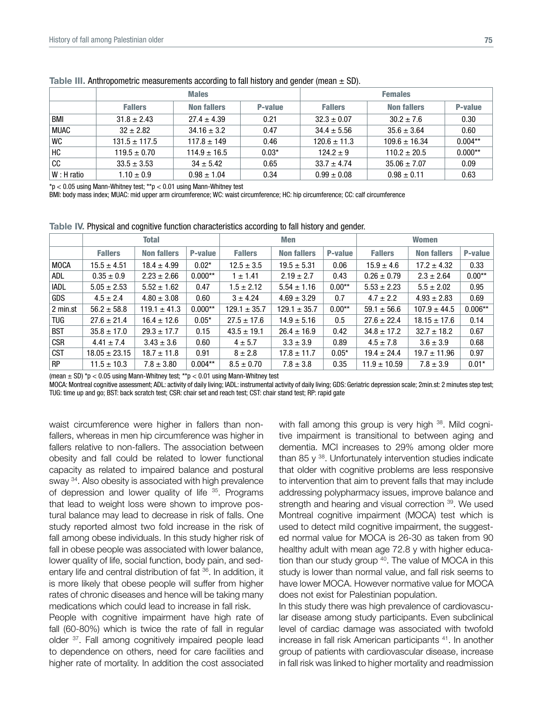|              |                   | <b>Males</b>       |         | <b>Females</b>   |                    |           |  |
|--------------|-------------------|--------------------|---------|------------------|--------------------|-----------|--|
|              | <b>Fallers</b>    | <b>Non fallers</b> | P-value | <b>Fallers</b>   | <b>Non fallers</b> | P-value   |  |
| BMI          | $31.8 \pm 2.43$   | $27.4 \pm 4.39$    | 0.21    | $32.3 \pm 0.07$  | $30.2 \pm 7.6$     | 0.30      |  |
| <b>MUAC</b>  | $32 + 2.82$       | $34.16 \pm 3.2$    | 0.47    | $34.4 \pm 5.56$  | $35.6 \pm 3.64$    | 0.60      |  |
| <b>WC</b>    | $131.5 \pm 117.5$ | $117.8 \pm 149$    | 0.46    | $120.6 \pm 11.3$ | $109.6 \pm 16.34$  | $0.004**$ |  |
| HC           | $119.5 \pm 0.70$  | $114.9 \pm 16.5$   | $0.03*$ | $124.2 + 9$      | $110.2 \pm 20.5$   | $0.000**$ |  |
| cc           | $33.5 \pm 3.53$   | $34 \pm 5.42$      | 0.65    | $33.7 \pm 4.74$  | $35.06 \pm 7.07$   | 0.09      |  |
| $W: H$ ratio | $1.10 \pm 0.9$    | $0.98 \pm 1.04$    | 0.34    | $0.99 \pm 0.08$  | $0.98 \pm 0.11$    | 0.63      |  |

Table III. Anthropometric measurements according to fall history and gender (mean  $\pm$  SD).

 $*p < 0.05$  using Mann-Whitney test;  $*p < 0.01$  using Mann-Whitney test

BMI: body mass index; MUAC: mid upper arm circumference; WC: waist circumference; HC: hip circumference; CC: calf circumference

Table IV. Physical and cognitive function characteristics according to fall history and gender.

|             | <b>Total</b>      |                    |           | <b>Men</b>       |                    |          | <b>Women</b>     |                    |           |
|-------------|-------------------|--------------------|-----------|------------------|--------------------|----------|------------------|--------------------|-----------|
|             | <b>Fallers</b>    | <b>Non fallers</b> | P-value   | <b>Fallers</b>   | <b>Non fallers</b> | P-value  | <b>Fallers</b>   | <b>Non fallers</b> | P-value   |
| <b>MOCA</b> | $15.5 \pm 4.51$   | $18.4 \pm 4.99$    | $0.02*$   | $12.5 \pm 3.5$   | $19.5 \pm 5.31$    | 0.06     | $15.9 \pm 4.6$   | $17.2 \pm 4.32$    | 0.33      |
| ADL         | $0.35 \pm 0.9$    | $2.23 \pm 2.66$    | $0.000**$ | $1 \pm 1.41$     | $2.19 \pm 2.7$     | 0.43     | $0.26 \pm 0.79$  | $2.3 \pm 2.64$     | $0.00**$  |
| <b>IADL</b> | $5.05 \pm 2.53$   | $5.52 \pm 1.62$    | 0.47      | $1.5 \pm 2.12$   | $5.54 \pm 1.16$    | $0.00**$ | $5.53 \pm 2.23$  | $5.5 \pm 2.02$     | 0.95      |
| <b>GDS</b>  | $4.5 \pm 2.4$     | $4.80 \pm 3.08$    | 0.60      | $3 \pm 4.24$     | $4.69 \pm 3.29$    | 0.7      | $4.7 \pm 2.2$    | $4.93 \pm 2.83$    | 0.69      |
| 2 min.st    | $56.2 \pm 58.8$   | $119.1 \pm 41.3$   | $0.000**$ | $129.1 \pm 35.7$ | $129.1 \pm 35.7$   | $0.00**$ | $59.1 \pm 56.6$  | $107.9 \pm 44.5$   | $0.006**$ |
| <b>TUG</b>  | $27.6 \pm 21.4$   | $16.4 \pm 12.6$    | $0.05*$   | $27.5 \pm 17.6$  | $14.9 \pm 5.16$    | 0.5      | $27.6 \pm 22.4$  | $18.15 \pm 17.6$   | 0.14      |
| <b>BST</b>  | $35.8 \pm 17.0$   | $29.3 \pm 17.7$    | 0.15      | $43.5 \pm 19.1$  | $26.4 \pm 16.9$    | 0.42     | $34.8 \pm 17.2$  | $32.7 \pm 18.2$    | 0.67      |
| <b>CSR</b>  | $4.41 \pm 7.4$    | $3.43 \pm 3.6$     | 0.60      | $4 \pm 5.7$      | $3.3 \pm 3.9$      | 0.89     | $4.5 \pm 7.8$    | $3.6 \pm 3.9$      | 0.68      |
| <b>CST</b>  | $18.05 \pm 23.15$ | $18.7 \pm 11.8$    | 0.91      | $8 \pm 2.8$      | $17.8 \pm 11.7$    | $0.05*$  | $19.4 \pm 24.4$  | $19.7 \pm 11.96$   | 0.97      |
| <b>RP</b>   | $11.5 \pm 10.3$   | $7.8 \pm 3.80$     | $0.004**$ | $8.5 \pm 0.70$   | $7.8 \pm 3.8$      | 0.35     | $11.9 \pm 10.59$ | $7.8 \pm 3.9$      | $0.01*$   |

(mean  $\pm$  SD) \*p < 0.05 using Mann-Whitney test; \*\*p < 0.01 using Mann-Whitney test

MOCA: Montreal cognitive assessment; ADL: activity of daily living; IADL: instrumental activity of daily living; GDS: Geriatric depression scale; [2min.st:](http://min.st:) 2 minutes step test; TUG: time up and go; BST: back scratch test; CSR: chair set and reach test; CST: chair stand test; RP: rapid gate

waist circumference were higher in fallers than nonfallers, whereas in men hip circumference was higher in fallers relative to non-fallers. The association between obesity and fall could be related to lower functional capacity as related to impaired balance and postural sway <sup>34</sup>. Also obesity is associated with high prevalence of depression and lower quality of life <sup>35</sup>. Programs that lead to weight loss were shown to improve postural balance may lead to decrease in risk of falls. One study reported almost two fold increase in the risk of fall among obese individuals. In this study higher risk of fall in obese people was associated with lower balance, lower quality of life, social function, body pain, and sedentary life and central distribution of fat 36. In addition, it is more likely that obese people will suffer from higher rates of chronic diseases and hence will be taking many medications which could lead to increase in fall risk.

People with cognitive impairment have high rate of fall (60-80%) which is twice the rate of fall in regular older <sup>37</sup>. Fall among cognitively impaired people lead to dependence on others, need for care facilities and higher rate of mortality. In addition the cost associated with fall among this group is very high <sup>38</sup>. Mild cognitive impairment is transitional to between aging and dementia. MCI increases to 29% among older more than 85  $\gamma$ <sup>38</sup>. Unfortunately intervention studies indicate that older with cognitive problems are less responsive to intervention that aim to prevent falls that may include addressing polypharmacy issues, improve balance and strength and hearing and visual correction 39. We used Montreal cognitive impairment (MOCA) test which is used to detect mild cognitive impairment, the suggested normal value for MOCA is 26-30 as taken from 90 healthy adult with mean age 72.8 y with higher education than our study group <sup>40</sup>. The value of MOCA in this study is lower than normal value, and fall risk seems to have lower MOCA. However normative value for MOCA does not exist for Palestinian population.

In this study there was high prevalence of cardiovascular disease among study participants. Even subclinical level of cardiac damage was associated with twofold increase in fall risk American participants 41. In another group of patients with cardiovascular disease, increase in fall risk was linked to higher mortality and readmission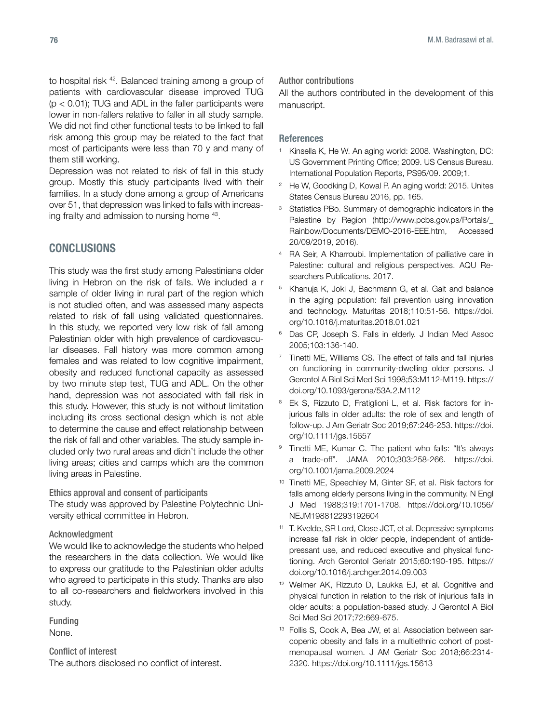to hospital risk 42. Balanced training among a group of patients with cardiovascular disease improved TUG  $(p < 0.01)$ ; TUG and ADL in the faller participants were lower in non-fallers relative to faller in all study sample. We did not find other functional tests to be linked to fall risk among this group may be related to the fact that most of participants were less than 70 y and many of them still working.

Depression was not related to risk of fall in this study group. Mostly this study participants lived with their families. In a study done among a group of Americans over 51, that depression was linked to falls with increasing frailty and admission to nursing home 43.

## **CONCLUSIONS**

This study was the first study among Palestinians older living in Hebron on the risk of falls. We included a r sample of older living in rural part of the region which is not studied often, and was assessed many aspects related to risk of fall using validated questionnaires. In this study, we reported very low risk of fall among Palestinian older with high prevalence of cardiovascular diseases. Fall history was more common among females and was related to low cognitive impairment, obesity and reduced functional capacity as assessed by two minute step test, TUG and ADL. On the other hand, depression was not associated with fall risk in this study. However, this study is not without limitation including its cross sectional design which is not able to determine the cause and effect relationship between the risk of fall and other variables. The study sample included only two rural areas and didn't include the other living areas; cities and camps which are the common living areas in Palestine.

Ethics approval and consent of participants

The study was approved by Palestine Polytechnic University ethical committee in Hebron.

#### Acknowledgment

We would like to acknowledge the students who helped the researchers in the data collection. We would like to express our gratitude to the Palestinian older adults who agreed to participate in this study. Thanks are also to all co-researchers and fieldworkers involved in this study.

Funding None.

Conflict of interest The authors disclosed no conflict of interest. Author contributions

All the authors contributed in the development of this manuscript.

#### References

- <sup>1</sup> Kinsella K, He W. An aging world: 2008. Washington, DC: US Government Printing Office; 2009. US Census Bureau. International Population Reports, PS95/09. 2009;1.
- <sup>2</sup> He W, Goodking D, Kowal P. An aging world: 2015. Unites States Census Bureau 2016, pp. 165.
- <sup>3</sup> Statistics PBo. Summary of demographic indicators in the Palestine by Region ([http://www.pcbs.gov.ps/Portals/\\_](http://www.pcbs.gov.ps/Portals/_Rainbow/Documents/DEMO-2016-EEE.htm) [Rainbow/Documents/DEMO-2016-EEE.htm](http://www.pcbs.gov.ps/Portals/_Rainbow/Documents/DEMO-2016-EEE.htm), Accessed 20/09/2019, 2016).
- <sup>4</sup> RA Seir, A Kharroubi. Implementation of palliative care in Palestine: cultural and religious perspectives. AQU Researchers Publications. 2017.
- <sup>5</sup> Khanuja K, Joki J, Bachmann G, et al. Gait and balance in the aging population: fall prevention using innovation and technology. Maturitas 2018;110:51-56. [https://doi.](https://doi.org/10.1016/j.maturitas.2018.01.021) [org/10.1016/j.maturitas.2018.01.021](https://doi.org/10.1016/j.maturitas.2018.01.021)
- <sup>6</sup> Das CP, Joseph S. Falls in elderly. J Indian Med Assoc 2005;103:136-140.
- <sup>7</sup> Tinetti ME, Williams CS. The effect of falls and fall injuries on functioning in community-dwelling older persons. J Gerontol A Biol Sci Med Sci 1998;53:M112-M119. [https://](https://doi.org/10.1093/gerona/53A.2.M112) [doi.org/10.1093/gerona/53A.2.M112](https://doi.org/10.1093/gerona/53A.2.M112)
- Ek S, Rizzuto D, Fratiglioni L, et al. Risk factors for injurious falls in older adults: the role of sex and length of follow-up. J Am Geriatr Soc 2019;67:246-253. [https://doi.](https://doi.org/10.1111/jgs.15657) [org/10.1111/jgs.15657](https://doi.org/10.1111/jgs.15657)
- <sup>9</sup> Tinetti ME, Kumar C. The patient who falls: "It's always a trade-off". JAMA 2010;303:258-266. [https://doi.](https://doi.org/10.1001/jama.2009.2024) [org/10.1001/jama.2009.2024](https://doi.org/10.1001/jama.2009.2024)
- <sup>10</sup> Tinetti ME, Speechley M, Ginter SF, et al. Risk factors for falls among elderly persons living in the community. N Engl J Med 1988;319:1701-1708. [https://doi.org/10.1056/](https://doi.org/10.1056/NEJM198812293192604) [NEJM198812293192604](https://doi.org/10.1056/NEJM198812293192604)
- <sup>11</sup> T. Kvelde, SR Lord, Close JCT, et al. Depressive symptoms increase fall risk in older people, independent of antidepressant use, and reduced executive and physical functioning. Arch Gerontol Geriatr 2015;60:190-195. [https://](https://doi.org/10.1016/j.archger.2014.09.003) [doi.org/10.1016/j.archger.2014.09.003](https://doi.org/10.1016/j.archger.2014.09.003)
- <sup>12</sup> Welmer AK, Rizzuto D, Laukka EJ, et al. Cognitive and physical function in relation to the risk of injurious falls in older adults: a population-based study. J Gerontol A Biol Sci Med Sci 2017;72:669-675.
- <sup>13</sup> Follis S, Cook A, Bea JW, et al. Association between sarcopenic obesity and falls in a multiethnic cohort of postmenopausal women. J AM Geriatr Soc 2018;66:2314- 2320.<https://doi.org/10.1111/jgs.15613>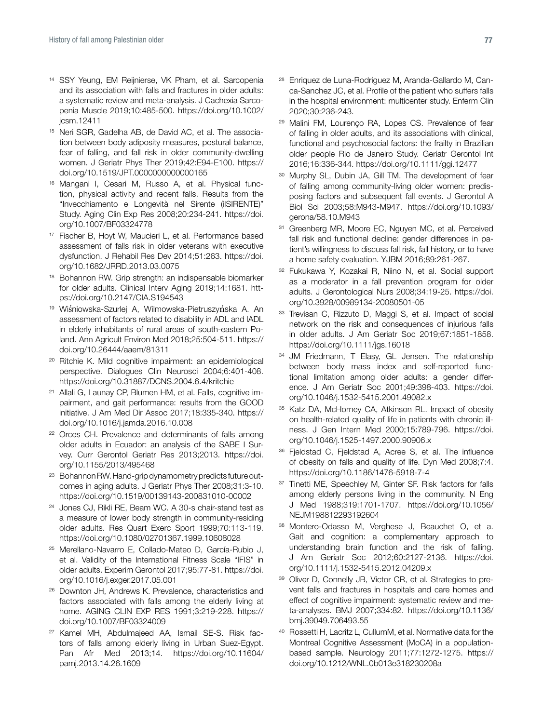- <sup>14</sup> SSY Yeung, EM Reijnierse, VK Pham, et al. Sarcopenia and its association with falls and fractures in older adults: a systematic review and meta-analysis. J Cachexia Sarcopenia Muscle 2019;10:485-500. [https://doi.org/10.1002/](https://doi.org/10.1002/jcsm.12411) [jcsm.12411](https://doi.org/10.1002/jcsm.12411)
- <sup>15</sup> Neri SGR, Gadelha AB, de David AC, et al. The association between body adiposity measures, postural balance, fear of falling, and fall risk in older community-dwelling women. J Geriatr Phys Ther 2019;42:E94-E100. [https://](https://doi.org/10.1519/JPT.0000000000000165) [doi.org/10.1519/JPT.0000000000000165](https://doi.org/10.1519/JPT.0000000000000165)
- <sup>16</sup> Mangani I, Cesari M, Russo A, et al. Physical function, physical activity and recent falls. Results from the "Invecchiamento e Longevità nel Sirente (ilSIRENTE)" Study. Aging Clin Exp Res 2008;20:234-241. [https://doi.](https://doi.org/10.1007/BF03324778) [org/10.1007/BF03324778](https://doi.org/10.1007/BF03324778)
- <sup>17</sup> Fischer B, Hoyt W, Maucieri L, et al. Performance based assessment of falls risk in older veterans with executive dysfunction. J Rehabil Res Dev 2014;51:263. [https://doi.](https://doi.org/10.1682/JRRD.2013.03.0075) [org/10.1682/JRRD.2013.03.0075](https://doi.org/10.1682/JRRD.2013.03.0075)
- <sup>18</sup> Bohannon RW. Grip strength: an indispensable biomarker for older adults. Clinical Interv Aging 2019;14:1681. [htt](https://doi.org/10.2147/CIA.S194543)[ps://doi.org/10.2147/CIA.S194543](https://doi.org/10.2147/CIA.S194543)
- <sup>19</sup> Wiśniowska-Szurlej A, Wilmowska-Pietruszyńska A. An assessment of factors related to disability in ADL and IADL in elderly inhabitants of rural areas of south-eastern Poland. Ann Agricult Environ Med 2018;25:504-511. [https://](https://doi.org/10.26444/aaem/81311) [doi.org/10.26444/aaem/81311](https://doi.org/10.26444/aaem/81311)
- <sup>20</sup> Ritchie K. Mild cognitive impairment: an epidemiological perspective. Dialogues Clin Neurosci 2004;6:401-408. <https://doi.org/10.31887/DCNS.2004.6.4/kritchie>
- <sup>21</sup> Allali G, Launay CP, Blumen HM, et al. Falls, cognitive impairment, and gait performance: results from the GOOD initiative. J Am Med Dir Assoc 2017;18:335-340. [https://](https://doi.org/10.1016/j.jamda.2016.10.008) [doi.org/10.1016/j.jamda.2016.10.008](https://doi.org/10.1016/j.jamda.2016.10.008)
- <sup>22</sup> Orces CH. Prevalence and determinants of falls among older adults in Ecuador: an analysis of the SABE I Survey. Curr Gerontol Geriatr Res 2013;2013. [https://doi.](https://doi.org/10.1155/2013/495468) [org/10.1155/2013/495468](https://doi.org/10.1155/2013/495468)
- <sup>23</sup> Bohannon RW. Hand-grip dynamometry predicts future outcomes in aging adults. J Geriatr Phys Ther 2008;31:3-10. <https://doi.org/10.1519/00139143-200831010-00002>
- <sup>24</sup> Jones CJ, Rikli RE, Beam WC. A 30-s chair-stand test as a measure of lower body strength in community-residing older adults. Res Quart Exerc Sport 1999;70:113-119. <https://doi.org/10.1080/02701367.1999.10608028>
- <sup>25</sup> Merellano-Navarro E, Collado-Mateo D, García-Rubio J, et al. Validity of the International Fitness Scale "IFIS" in older adults. Experim Gerontol 2017;95:77-81. [https://doi.](https://doi.org/10.1016/j.exger.2017.05.001) [org/10.1016/j.exger.2017.05.001](https://doi.org/10.1016/j.exger.2017.05.001)
- <sup>26</sup> Downton JH, Andrews K. Prevalence, characteristics and factors associated with falls among the elderly living at home. AGING CLIN EXP RES 1991;3:219-228. [https://](https://doi.org/10.1007/BF03324009) [doi.org/10.1007/BF03324009](https://doi.org/10.1007/BF03324009)
- <sup>27</sup> Kamel MH, Abdulmajeed AA, Ismail SE-S. Risk factors of falls among elderly living in Urban Suez-Egypt. Pan Afr Med 2013;14. https://doi.org/10.11604/ pamj.2013.14.26.1609
- <sup>28</sup> Enriquez de Luna-Rodriguez M, Aranda-Gallardo M, Canca-Sanchez JC, et al. Profile of the patient who suffers falls in the hospital environment: multicenter study. Enferm Clin 2020;30:236-243.
- <sup>29</sup> Malini FM, Lourenço RA, Lopes CS. Prevalence of fear of falling in older adults, and its associations with clinical, functional and psychosocial factors: the frailty in Brazilian older people Rio de Janeiro Study. Geriatr Gerontol Int 2016;16:336-344. <https://doi.org/10.1111/ggi.12477>
- <sup>30</sup> Murphy SL, Dubin JA, Gill TM. The development of fear of falling among community-living older women: predisposing factors and subsequent fall events. J Gerontol A Biol Sci 2003;58:M943-M947. [https://doi.org/10.1093/](https://doi.org/10.1093/gerona/58.10.M943) [gerona/58.10.M943](https://doi.org/10.1093/gerona/58.10.M943)
- Greenberg MR, Moore EC, Nguyen MC, et al. Perceived fall risk and functional decline: gender differences in patient's willingness to discuss fall risk, fall history, or to have a home safety evaluation. YJBM 2016;89:261-267.
- <sup>32</sup> Fukukawa Y, Kozakai R, Niino N, et al. Social support as a moderator in a fall prevention program for older adults. J Gerontological Nurs 2008;34:19-25. [https://doi.](https://doi.org/10.3928/00989134-20080501-05) [org/10.3928/00989134-20080501-05](https://doi.org/10.3928/00989134-20080501-05)
- <sup>33</sup> Trevisan C, Rizzuto D, Maggi S, et al. Impact of social network on the risk and consequences of injurious falls in older adults. J Am Geriatr Soc 2019;67:1851-1858. <https://doi.org/10.1111/jgs.16018>
- <sup>34</sup> JM Friedmann, T Elasy, GL Jensen. The relationship between body mass index and self-reported functional limitation among older adults: a gender difference. J Am Geriatr Soc 2001;49:398-403. [https://doi.](https://doi.org/10.1046/j.1532-5415.2001.49082.x) [org/10.1046/j.1532-5415.2001.49082.x](https://doi.org/10.1046/j.1532-5415.2001.49082.x)
- 35 Katz DA, McHorney CA, Atkinson RL. Impact of obesity on health-related quality of life in patients with chronic illness. J Gen Intern Med 2000;15:789-796. [https://doi.](https://doi.org/10.1046/j.1525-1497.2000.90906.x) [org/10.1046/j.1525-1497.2000.90906.x](https://doi.org/10.1046/j.1525-1497.2000.90906.x)
- <sup>36</sup> Fjeldstad C, Fjeldstad A, Acree S, et al. The influence of obesity on falls and quality of life. Dyn Med 2008;7:4. <https://doi.org/10.1186/1476-5918-7-4>
- <sup>37</sup> Tinetti ME, Speechley M, Ginter SF. Risk factors for falls among elderly persons living in the community. N Eng J Med 1988;319:1701-1707. [https://doi.org/10.1056/](https://doi.org/10.1056/NEJM198812293192604) [NEJM198812293192604](https://doi.org/10.1056/NEJM198812293192604)
- <sup>38</sup> Montero-Odasso M, Verghese J, Beauchet O, et a. Gait and cognition: a complementary approach to understanding brain function and the risk of falling. J Am Geriatr Soc 2012;60:2127-2136. [https://doi.](https://doi.org/10.1111/j.1532-5415.2012.04209.x) [org/10.1111/j.1532-5415.2012.04209.x](https://doi.org/10.1111/j.1532-5415.2012.04209.x)
- 39 Oliver D, Connelly JB, Victor CR, et al. Strategies to prevent falls and fractures in hospitals and care homes and effect of cognitive impairment: systematic review and meta-analyses. BMJ 2007;334:82. [https://doi.org/10.1136/](https://doi.org/10.1136/bmj.39049.706493.55) [bmj.39049.706493.55](https://doi.org/10.1136/bmj.39049.706493.55)
- <sup>40</sup> Rossetti H, Lacritz L, CullumM, et al. Normative data for the Montreal Cognitive Assessment (MoCA) in a populationbased sample. Neurology 2011;77:1272-1275. [https://](https://doi.org/10.1212/WNL.0b013e318230208a) [doi.org/10.1212/WNL.0b013e318230208a](https://doi.org/10.1212/WNL.0b013e318230208a)